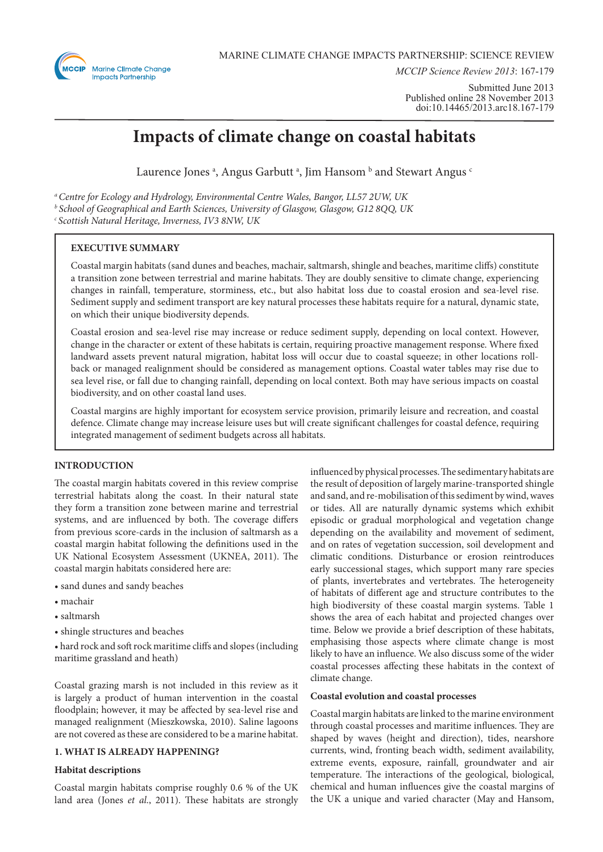

*MCCIP Science Review 2013*: 167-179

Submitted June 2013 Published online 28 November 2013 doi:10.14465/2013.arc18.167-179

# **Impacts of climate change on coastal habitats**

Laurence Jones <sup>a</sup>, Angus Garbutt <sup>a</sup>, Jim Hansom <sup>b</sup> and Stewart Angus <sup>c</sup>

*a Centre for Ecology and Hydrology, Environmental Centre Wales, Bangor, LL57 2UW, UK b School of Geographical and Earth Sciences, University of Glasgow, Glasgow, G12 8QQ, UK c Scottish Natural Heritage, Inverness, IV3 8NW, UK*

# **EXECUTIVE SUMMARY**

Coastal margin habitats (sand dunes and beaches, machair, saltmarsh, shingle and beaches, maritime cliffs) constitute a transition zone between terrestrial and marine habitats. They are doubly sensitive to climate change, experiencing changes in rainfall, temperature, storminess, etc., but also habitat loss due to coastal erosion and sea-level rise. Sediment supply and sediment transport are key natural processes these habitats require for a natural, dynamic state, on which their unique biodiversity depends.

Coastal erosion and sea-level rise may increase or reduce sediment supply, depending on local context. However, change in the character or extent of these habitats is certain, requiring proactive management response. Where fixed landward assets prevent natural migration, habitat loss will occur due to coastal squeeze; in other locations rollback or managed realignment should be considered as management options. Coastal water tables may rise due to sea level rise, or fall due to changing rainfall, depending on local context. Both may have serious impacts on coastal biodiversity, and on other coastal land uses.

Coastal margins are highly important for ecosystem service provision, primarily leisure and recreation, and coastal defence. Climate change may increase leisure uses but will create significant challenges for coastal defence, requiring integrated management of sediment budgets across all habitats.

# **INTRODUCTION**

The coastal margin habitats covered in this review comprise terrestrial habitats along the coast. In their natural state they form a transition zone between marine and terrestrial systems, and are influenced by both. The coverage differs from previous score-cards in the inclusion of saltmarsh as a coastal margin habitat following the definitions used in the UK National Ecosystem Assessment (UKNEA, 2011). The coastal margin habitats considered here are:

- sand dunes and sandy beaches
- machair
- saltmarsh
- shingle structures and beaches

• hard rock and soft rock maritime cliffs and slopes (including maritime grassland and heath)

Coastal grazing marsh is not included in this review as it is largely a product of human intervention in the coastal floodplain; however, it may be affected by sea-level rise and managed realignment (Mieszkowska, 2010). Saline lagoons are not covered as these are considered to be a marine habitat.

# **1. WHAT IS ALREADY HAPPENING?**

#### **Habitat descriptions**

Coastal margin habitats comprise roughly 0.6 % of the UK land area (Jones *et al*., 2011). These habitats are strongly

influenced by physical processes. The sedimentary habitats are the result of deposition of largely marine-transported shingle and sand, and re-mobilisation of this sediment by wind, waves or tides. All are naturally dynamic systems which exhibit episodic or gradual morphological and vegetation change depending on the availability and movement of sediment, and on rates of vegetation succession, soil development and climatic conditions. Disturbance or erosion reintroduces early successional stages, which support many rare species of plants, invertebrates and vertebrates. The heterogeneity of habitats of different age and structure contributes to the high biodiversity of these coastal margin systems. Table 1 shows the area of each habitat and projected changes over time. Below we provide a brief description of these habitats, emphasising those aspects where climate change is most likely to have an influence. We also discuss some of the wider coastal processes affecting these habitats in the context of climate change.

#### **Coastal evolution and coastal processes**

Coastal margin habitats are linked to the marine environment through coastal processes and maritime influences. They are shaped by waves (height and direction), tides, nearshore currents, wind, fronting beach width, sediment availability, extreme events, exposure, rainfall, groundwater and air temperature. The interactions of the geological, biological, chemical and human influences give the coastal margins of the UK a unique and varied character (May and Hansom,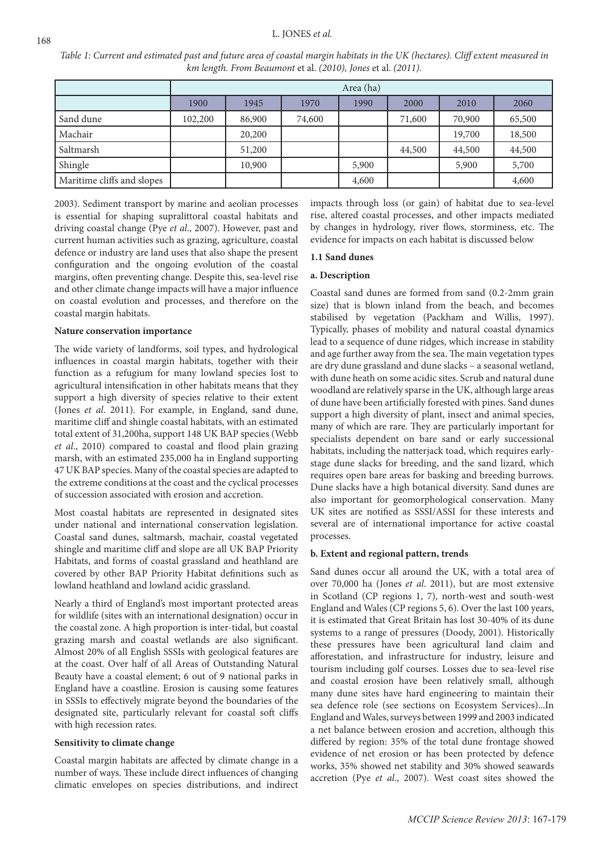*Table 1: Current and estimated past and future area of coastal margin habitats in the UK (hectares). Cliff extent measured in km length. From Beaumont* et al. *(2010), Jones* et al. *(2011).*

|                            | Area (ha) |        |        |       |        |        |        |
|----------------------------|-----------|--------|--------|-------|--------|--------|--------|
|                            | 1900      | 1945   | 1970   | 1990  | 2000   | 2010   | 2060   |
| Sand dune                  | 102,200   | 86,900 | 74,600 |       | 71,600 | 70,900 | 65,500 |
| Machair                    |           | 20,200 |        |       |        | 19,700 | 18,500 |
| Saltmarsh                  |           | 51,200 |        |       | 44,500 | 44,500 | 44,500 |
| Shingle                    |           | 10,900 |        | 5,900 |        | 5,900  | 5,700  |
| Maritime cliffs and slopes |           |        |        | 4,600 |        |        | 4,600  |

2003). Sediment transport by marine and aeolian processes is essential for shaping supralittoral coastal habitats and driving coastal change (Pye *et al*., 2007). However, past and current human activities such as grazing, agriculture, coastal defence or industry are land uses that also shape the present configuration and the ongoing evolution of the coastal margins, often preventing change. Despite this, sea-level rise and other climate change impacts will have a major influence on coastal evolution and processes, and therefore on the coastal margin habitats.

#### **Nature conservation importance**

The wide variety of landforms, soil types, and hydrological influences in coastal margin habitats, together with their function as a refugium for many lowland species lost to agricultural intensification in other habitats means that they support a high diversity of species relative to their extent (Jones *et al*. 2011). For example, in England, sand dune, maritime cliff and shingle coastal habitats, with an estimated total extent of 31,200ha, support 148 UK BAP species (Webb *et al*., 2010) compared to coastal and flood plain grazing marsh, with an estimated 235,000 ha in England supporting 47 UK BAP species. Many of the coastal species are adapted to the extreme conditions at the coast and the cyclical processes of succession associated with erosion and accretion.

Most coastal habitats are represented in designated sites under national and international conservation legislation. Coastal sand dunes, saltmarsh, machair, coastal vegetated shingle and maritime cliff and slope are all UK BAP Priority Habitats, and forms of coastal grassland and heathland are covered by other BAP Priority Habitat definitions such as lowland heathland and lowland acidic grassland.

Nearly a third of England's most important protected areas for wildlife (sites with an international designation) occur in the coastal zone. A high proportion is inter-tidal, but coastal grazing marsh and coastal wetlands are also significant. Almost 20% of all English SSSIs with geological features are at the coast. Over half of all Areas of Outstanding Natural Beauty have a coastal element; 6 out of 9 national parks in England have a coastline. Erosion is causing some features in SSSIs to effectively migrate beyond the boundaries of the designated site, particularly relevant for coastal soft cliffs with high recession rates.

## **Sensitivity to climate change**

Coastal margin habitats are affected by climate change in a number of ways. These include direct influences of changing climatic envelopes on species distributions, and indirect

impacts through loss (or gain) of habitat due to sea-level rise, altered coastal processes, and other impacts mediated by changes in hydrology, river flows, storminess, etc. The evidence for impacts on each habitat is discussed below

#### **1.1 Sand dunes**

## **a. Description**

Coastal sand dunes are formed from sand (0.2-2mm grain size) that is blown inland from the beach, and becomes stabilised by vegetation (Packham and Willis, 1997). Typically, phases of mobility and natural coastal dynamics lead to a sequence of dune ridges, which increase in stability and age further away from the sea. The main vegetation types are dry dune grassland and dune slacks – a seasonal wetland, with dune heath on some acidic sites. Scrub and natural dune woodland are relatively sparse in the UK, although large areas of dune have been artificially forested with pines. Sand dunes support a high diversity of plant, insect and animal species, many of which are rare. They are particularly important for specialists dependent on bare sand or early successional habitats, including the natterjack toad, which requires earlystage dune slacks for breeding, and the sand lizard, which requires open bare areas for basking and breeding burrows. Dune slacks have a high botanical diversity. Sand dunes are also important for geomorphological conservation. Many UK sites are notified as SSSI/ASSI for these interests and several are of international importance for active coastal processes.

#### **b. Extent and regional pattern, trends**

Sand dunes occur all around the UK, with a total area of over 70,000 ha (Jones *et al*. 2011), but are most extensive in Scotland (CP regions 1, 7), north-west and south-west England and Wales (CP regions 5, 6). Over the last 100 years, it is estimated that Great Britain has lost 30-40% of its dune systems to a range of pressures (Doody, 2001). Historically these pressures have been agricultural land claim and afforestation, and infrastructure for industry, leisure and tourism including golf courses. Losses due to sea-level rise and coastal erosion have been relatively small, although many dune sites have hard engineering to maintain their sea defence role (see sections on Ecosystem Services)...In England and Wales, surveys between 1999 and 2003 indicated a net balance between erosion and accretion, although this differed by region: 35% of the total dune frontage showed evidence of net erosion or has been protected by defence works, 35% showed net stability and 30% showed seawards accretion (Pye *et al*., 2007). West coast sites showed the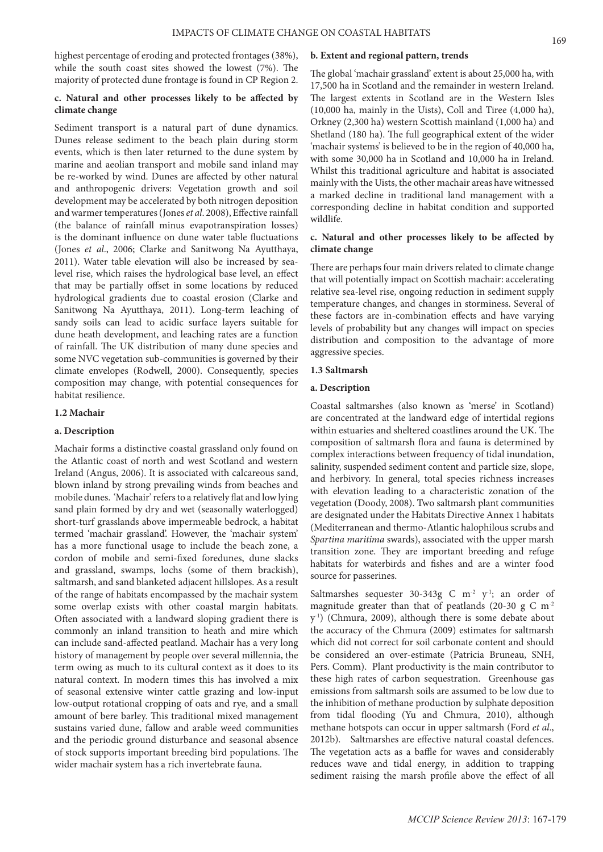highest percentage of eroding and protected frontages (38%), while the south coast sites showed the lowest (7%). The majority of protected dune frontage is found in CP Region 2.

## **c. Natural and other processes likely to be affected by climate change**

Sediment transport is a natural part of dune dynamics. Dunes release sediment to the beach plain during storm events, which is then later returned to the dune system by marine and aeolian transport and mobile sand inland may be re-worked by wind. Dunes are affected by other natural and anthropogenic drivers: Vegetation growth and soil development may be accelerated by both nitrogen deposition and warmer temperatures (Jones *et al*. 2008), Effective rainfall (the balance of rainfall minus evapotranspiration losses) is the dominant influence on dune water table fluctuations (Jones *et al*., 2006; Clarke and Sanitwong Na Ayutthaya, 2011). Water table elevation will also be increased by sealevel rise, which raises the hydrological base level, an effect that may be partially offset in some locations by reduced hydrological gradients due to coastal erosion (Clarke and Sanitwong Na Ayutthaya, 2011). Long-term leaching of sandy soils can lead to acidic surface layers suitable for dune heath development, and leaching rates are a function of rainfall. The UK distribution of many dune species and some NVC vegetation sub-communities is governed by their climate envelopes (Rodwell, 2000). Consequently, species composition may change, with potential consequences for habitat resilience.

#### **1.2 Machair**

#### **a. Description**

Machair forms a distinctive coastal grassland only found on the Atlantic coast of north and west Scotland and western Ireland (Angus, 2006). It is associated with calcareous sand, blown inland by strong prevailing winds from beaches and mobile dunes. 'Machair' refers to a relatively flat and low lying sand plain formed by dry and wet (seasonally waterlogged) short-turf grasslands above impermeable bedrock, a habitat termed 'machair grassland'. However, the 'machair system' has a more functional usage to include the beach zone, a cordon of mobile and semi-fixed foredunes, dune slacks and grassland, swamps, lochs (some of them brackish), saltmarsh, and sand blanketed adjacent hillslopes. As a result of the range of habitats encompassed by the machair system some overlap exists with other coastal margin habitats. Often associated with a landward sloping gradient there is commonly an inland transition to heath and mire which can include sand-affected peatland. Machair has a very long history of management by people over several millennia, the term owing as much to its cultural context as it does to its natural context. In modern times this has involved a mix of seasonal extensive winter cattle grazing and low-input low-output rotational cropping of oats and rye, and a small amount of bere barley. This traditional mixed management sustains varied dune, fallow and arable weed communities and the periodic ground disturbance and seasonal absence of stock supports important breeding bird populations. The wider machair system has a rich invertebrate fauna.

#### **b. Extent and regional pattern, trends**

The global 'machair grassland' extent is about 25,000 ha, with 17,500 ha in Scotland and the remainder in western Ireland. The largest extents in Scotland are in the Western Isles (10,000 ha, mainly in the Uists), Coll and Tiree (4,000 ha), Orkney (2,300 ha) western Scottish mainland (1,000 ha) and Shetland (180 ha). The full geographical extent of the wider 'machair systems' is believed to be in the region of 40,000 ha, with some 30,000 ha in Scotland and 10,000 ha in Ireland. Whilst this traditional agriculture and habitat is associated mainly with the Uists, the other machair areas have witnessed a marked decline in traditional land management with a corresponding decline in habitat condition and supported wildlife.

## **c. Natural and other processes likely to be affected by climate change**

There are perhaps four main drivers related to climate change that will potentially impact on Scottish machair: accelerating relative sea-level rise, ongoing reduction in sediment supply temperature changes, and changes in storminess. Several of these factors are in-combination effects and have varying levels of probability but any changes will impact on species distribution and composition to the advantage of more aggressive species.

# **1.3 Saltmarsh**

#### **a. Description**

Coastal saltmarshes (also known as 'merse' in Scotland) are concentrated at the landward edge of intertidal regions within estuaries and sheltered coastlines around the UK. The composition of saltmarsh flora and fauna is determined by complex interactions between frequency of tidal inundation, salinity, suspended sediment content and particle size, slope, and herbivory. In general, total species richness increases with elevation leading to a characteristic zonation of the vegetation (Doody, 2008). Two saltmarsh plant communities are designated under the Habitats Directive Annex 1 habitats (Mediterranean and thermo-Atlantic halophilous scrubs and *Spartina maritima* swards), associated with the upper marsh transition zone. They are important breeding and refuge habitats for waterbirds and fishes and are a winter food source for passerines.

Saltmarshes sequester 30-343g C  $m<sup>-2</sup>$  y<sup>-1</sup>; an order of magnitude greater than that of peatlands (20-30 g C m-2  $y<sup>-1</sup>$ ) (Chmura, 2009), although there is some debate about the accuracy of the Chmura (2009) estimates for saltmarsh which did not correct for soil carbonate content and should be considered an over-estimate (Patricia Bruneau, SNH, Pers. Comm). Plant productivity is the main contributor to these high rates of carbon sequestration. Greenhouse gas emissions from saltmarsh soils are assumed to be low due to the inhibition of methane production by sulphate deposition from tidal flooding (Yu and Chmura, 2010), although methane hotspots can occur in upper saltmarsh (Ford *et al*., 2012b). Saltmarshes are effective natural coastal defences. The vegetation acts as a baffle for waves and considerably reduces wave and tidal energy, in addition to trapping sediment raising the marsh profile above the effect of all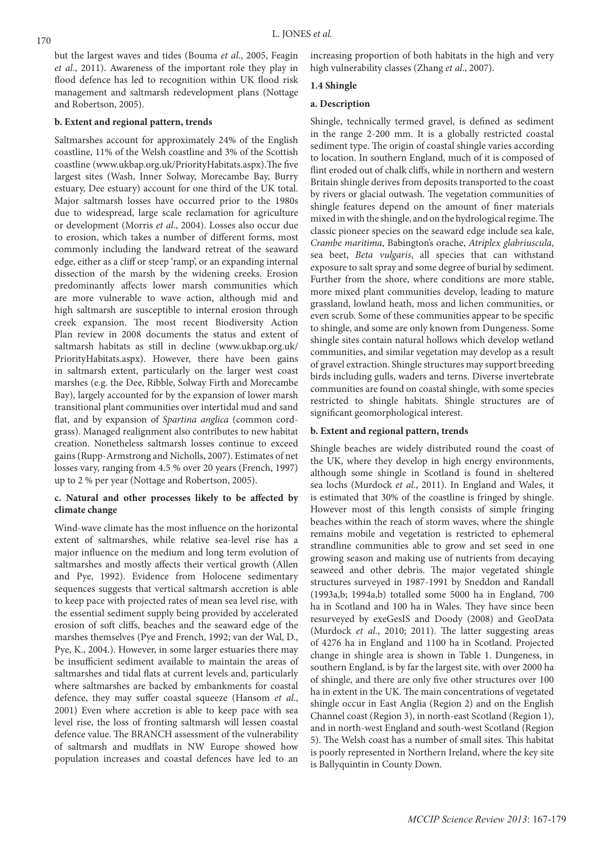but the largest waves and tides (Bouma *et al*., 2005, Feagin *et al*., 2011). Awareness of the important role they play in flood defence has led to recognition within UK flood risk management and saltmarsh redevelopment plans (Nottage and Robertson, 2005).

#### **b. Extent and regional pattern, trends**

Saltmarshes account for approximately 24% of the English coastline, 11% of the Welsh coastline and 3% of the Scottish coastline (www.ukbap.org.uk/PriorityHabitats.aspx).The five largest sites (Wash, Inner Solway, Morecambe Bay, Burry estuary, Dee estuary) account for one third of the UK total. Major saltmarsh losses have occurred prior to the 1980s due to widespread, large scale reclamation for agriculture or development (Morris *et al*., 2004). Losses also occur due to erosion, which takes a number of different forms, most commonly including the landward retreat of the seaward edge, either as a cliff or steep 'ramp', or an expanding internal dissection of the marsh by the widening creeks. Erosion predominantly affects lower marsh communities which are more vulnerable to wave action, although mid and high saltmarsh are susceptible to internal erosion through creek expansion. The most recent Biodiversity Action Plan review in 2008 documents the status and extent of saltmarsh habitats as still in decline (www.ukbap.org.uk/ PriorityHabitats.aspx). However, there have been gains in saltmarsh extent, particularly on the larger west coast marshes (e.g. the Dee, Ribble, Solway Firth and Morecambe Bay), largely accounted for by the expansion of lower marsh transitional plant communities over intertidal mud and sand flat, and by expansion of *Spartina anglica* (common cordgrass). Managed realignment also contributes to new habitat creation. Nonetheless saltmarsh losses continue to exceed gains (Rupp-Armstrong and Nicholls, 2007). Estimates of net losses vary, ranging from 4.5 % over 20 years (French, 1997) up to 2 % per year (Nottage and Robertson, 2005).

# **c. Natural and other processes likely to be affected by climate change**

Wind-wave climate has the most influence on the horizontal extent of saltmarshes, while relative sea-level rise has a major influence on the medium and long term evolution of saltmarshes and mostly affects their vertical growth (Allen and Pye, 1992). Evidence from Holocene sedimentary sequences suggests that vertical saltmarsh accretion is able to keep pace with projected rates of mean sea level rise, with the essential sediment supply being provided by accelerated erosion of soft cliffs, beaches and the seaward edge of the marshes themselves (Pye and French, 1992; van der Wal, D., Pye, K., 2004.). However, in some larger estuaries there may be insufficient sediment available to maintain the areas of saltmarshes and tidal flats at current levels and, particularly where saltmarshes are backed by embankments for coastal defence, they may suffer coastal squeeze (Hansom *et al*., 2001) Even where accretion is able to keep pace with sea level rise, the loss of fronting saltmarsh will lessen coastal defence value. The BRANCH assessment of the vulnerability of saltmarsh and mudflats in NW Europe showed how population increases and coastal defences have led to an

increasing proportion of both habitats in the high and very high vulnerability classes (Zhang *et al*., 2007).

# **1.4 Shingle**

#### **a. Description**

Shingle, technically termed gravel, is defined as sediment in the range 2-200 mm. It is a globally restricted coastal sediment type. The origin of coastal shingle varies according to location. In southern England, much of it is composed of flint eroded out of chalk cliffs, while in northern and western Britain shingle derives from deposits transported to the coast by rivers or glacial outwash. The vegetation communities of shingle features depend on the amount of finer materials mixed in with the shingle, and on the hydrological regime. The classic pioneer species on the seaward edge include sea kale, *Crambe maritima*, Babington's orache, *Atriplex glabriuscula*, sea beet, *Beta vulgaris*, all species that can withstand exposure to salt spray and some degree of burial by sediment. Further from the shore, where conditions are more stable, more mixed plant communities develop, leading to mature grassland, lowland heath, moss and lichen communities, or even scrub. Some of these communities appear to be specific to shingle, and some are only known from Dungeness. Some shingle sites contain natural hollows which develop wetland communities, and similar vegetation may develop as a result of gravel extraction. Shingle structures may support breeding birds including gulls, waders and terns. Diverse invertebrate communities are found on coastal shingle, with some species restricted to shingle habitats. Shingle structures are of significant geomorphological interest.

#### **b. Extent and regional pattern, trends**

Shingle beaches are widely distributed round the coast of the UK, where they develop in high energy environments, although some shingle in Scotland is found in sheltered sea lochs (Murdock *et al*., 2011). In England and Wales, it is estimated that 30% of the coastline is fringed by shingle. However most of this length consists of simple fringing beaches within the reach of storm waves, where the shingle remains mobile and vegetation is restricted to ephemeral strandline communities able to grow and set seed in one growing season and making use of nutrients from decaying seaweed and other debris. The major vegetated shingle structures surveyed in 1987-1991 by Sneddon and Randall (1993a,b; 1994a,b) totalled some 5000 ha in England, 700 ha in Scotland and 100 ha in Wales. They have since been resurveyed by exeGesIS and Doody (2008) and GeoData (Murdock *et al*., 2010; 2011). The latter suggesting areas of 4276 ha in England and 1100 ha in Scotland. Projected change in shingle area is shown in Table 1. Dungeness, in southern England, is by far the largest site, with over 2000 ha of shingle, and there are only five other structures over 100 ha in extent in the UK. The main concentrations of vegetated shingle occur in East Anglia (Region 2) and on the English Channel coast (Region 3), in north-east Scotland (Region 1), and in north-west England and south-west Scotland (Region 5). The Welsh coast has a number of small sites. This habitat is poorly represented in Northern Ireland, where the key site is Ballyquintin in County Down.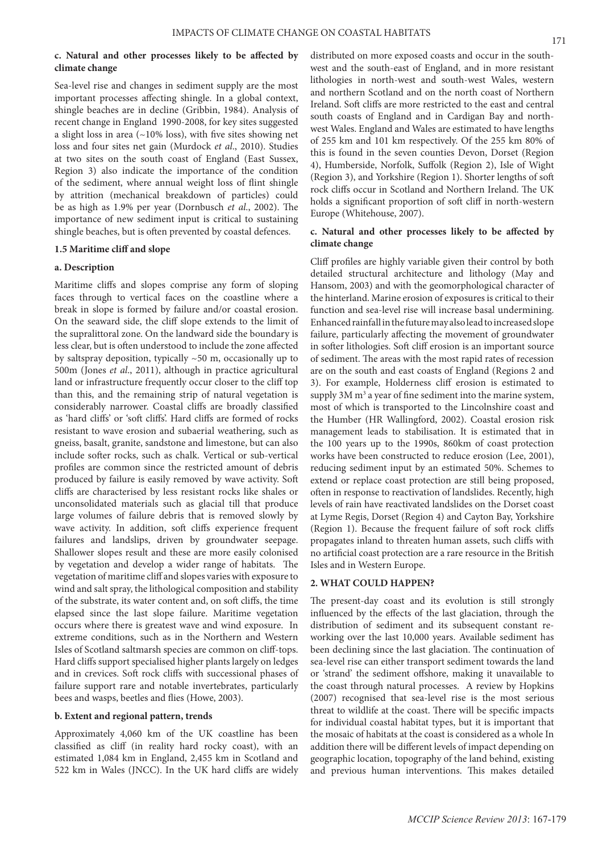#### **c. Natural and other processes likely to be affected by climate change**

Sea-level rise and changes in sediment supply are the most important processes affecting shingle. In a global context, shingle beaches are in decline (Gribbin, 1984). Analysis of recent change in England 1990-2008, for key sites suggested a slight loss in area (~10% loss), with five sites showing net loss and four sites net gain (Murdock *et al*., 2010). Studies at two sites on the south coast of England (East Sussex, Region 3) also indicate the importance of the condition of the sediment, where annual weight loss of flint shingle by attrition (mechanical breakdown of particles) could be as high as 1.9% per year (Dornbusch *et al*., 2002). The importance of new sediment input is critical to sustaining shingle beaches, but is often prevented by coastal defences.

## **1.5 Maritime cliff and slope**

#### **a. Description**

Maritime cliffs and slopes comprise any form of sloping faces through to vertical faces on the coastline where a break in slope is formed by failure and/or coastal erosion. On the seaward side, the cliff slope extends to the limit of the supralittoral zone. On the landward side the boundary is less clear, but is often understood to include the zone affected by saltspray deposition, typically ~50 m, occasionally up to 500m (Jones *et al*., 2011), although in practice agricultural land or infrastructure frequently occur closer to the cliff top than this, and the remaining strip of natural vegetation is considerably narrower. Coastal cliffs are broadly classified as 'hard cliffs' or 'soft cliffs'. Hard cliffs are formed of rocks resistant to wave erosion and subaerial weathering, such as gneiss, basalt, granite, sandstone and limestone, but can also include softer rocks, such as chalk. Vertical or sub-vertical profiles are common since the restricted amount of debris produced by failure is easily removed by wave activity. Soft cliffs are characterised by less resistant rocks like shales or unconsolidated materials such as glacial till that produce large volumes of failure debris that is removed slowly by wave activity. In addition, soft cliffs experience frequent failures and landslips, driven by groundwater seepage. Shallower slopes result and these are more easily colonised by vegetation and develop a wider range of habitats. The vegetation of maritime cliff and slopes varies with exposure to wind and salt spray, the lithological composition and stability of the substrate, its water content and, on soft cliffs, the time elapsed since the last slope failure. Maritime vegetation occurs where there is greatest wave and wind exposure. In extreme conditions, such as in the Northern and Western Isles of Scotland saltmarsh species are common on cliff-tops. Hard cliffs support specialised higher plants largely on ledges and in crevices. Soft rock cliffs with successional phases of failure support rare and notable invertebrates, particularly bees and wasps, beetles and flies (Howe, 2003).

### **b. Extent and regional pattern, trends**

Approximately 4,060 km of the UK coastline has been classified as cliff (in reality hard rocky coast), with an estimated 1,084 km in England, 2,455 km in Scotland and 522 km in Wales (JNCC). In the UK hard cliffs are widely

distributed on more exposed coasts and occur in the southwest and the south-east of England, and in more resistant lithologies in north-west and south-west Wales, western and northern Scotland and on the north coast of Northern Ireland. Soft cliffs are more restricted to the east and central south coasts of England and in Cardigan Bay and northwest Wales. England and Wales are estimated to have lengths of 255 km and 101 km respectively. Of the 255 km 80% of this is found in the seven counties Devon, Dorset (Region 4), Humberside, Norfolk, Suffolk (Region 2), Isle of Wight (Region 3), and Yorkshire (Region 1). Shorter lengths of soft rock cliffs occur in Scotland and Northern Ireland. The UK holds a significant proportion of soft cliff in north-western Europe (Whitehouse, 2007).

# **c. Natural and other processes likely to be affected by climate change**

Cliff profiles are highly variable given their control by both detailed structural architecture and lithology (May and Hansom, 2003) and with the geomorphological character of the hinterland. Marine erosion of exposures is critical to their function and sea-level rise will increase basal undermining. Enhanced rainfall in the future may also lead to increased slope failure, particularly affecting the movement of groundwater in softer lithologies. Soft cliff erosion is an important source of sediment. The areas with the most rapid rates of recession are on the south and east coasts of England (Regions 2 and 3). For example, Holderness cliff erosion is estimated to supply  $3M$  m<sup>3</sup> a year of fine sediment into the marine system, most of which is transported to the Lincolnshire coast and the Humber (HR Wallingford, 2002). Coastal erosion risk management leads to stabilisation. It is estimated that in the 100 years up to the 1990s, 860km of coast protection works have been constructed to reduce erosion (Lee, 2001), reducing sediment input by an estimated 50%. Schemes to extend or replace coast protection are still being proposed, often in response to reactivation of landslides. Recently, high levels of rain have reactivated landslides on the Dorset coast at Lyme Regis, Dorset (Region 4) and Cayton Bay, Yorkshire (Region 1). Because the frequent failure of soft rock cliffs propagates inland to threaten human assets, such cliffs with no artificial coast protection are a rare resource in the British Isles and in Western Europe.

## **2. WHAT COULD HAPPEN?**

The present-day coast and its evolution is still strongly influenced by the effects of the last glaciation, through the distribution of sediment and its subsequent constant reworking over the last 10,000 years. Available sediment has been declining since the last glaciation. The continuation of sea-level rise can either transport sediment towards the land or 'strand' the sediment offshore, making it unavailable to the coast through natural processes. A review by Hopkins (2007) recognised that sea-level rise is the most serious threat to wildlife at the coast. There will be specific impacts for individual coastal habitat types, but it is important that the mosaic of habitats at the coast is considered as a whole In addition there will be different levels of impact depending on geographic location, topography of the land behind, existing and previous human interventions. This makes detailed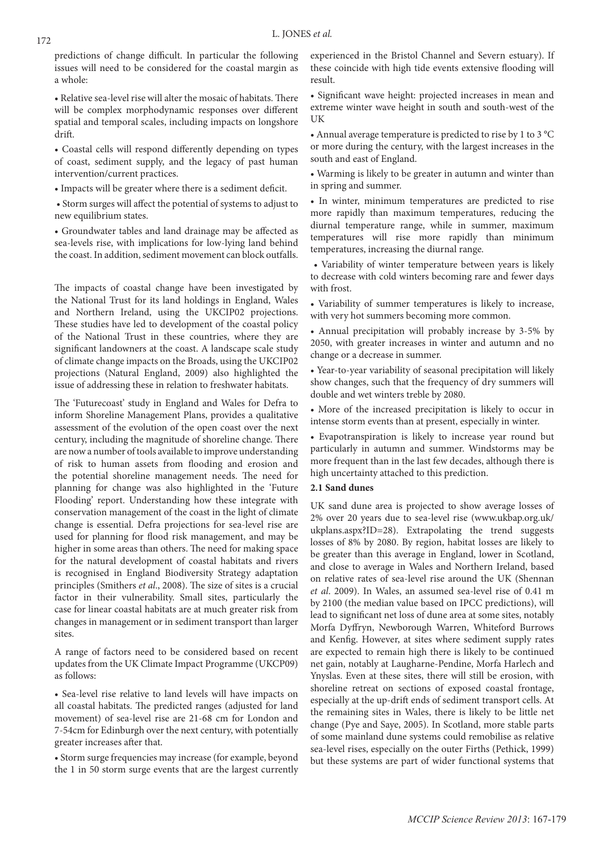predictions of change difficult. In particular the following issues will need to be considered for the coastal margin as a whole:

• Relative sea-level rise will alter the mosaic of habitats. There will be complex morphodynamic responses over different spatial and temporal scales, including impacts on longshore drift.

• Coastal cells will respond differently depending on types of coast, sediment supply, and the legacy of past human intervention/current practices.

• Impacts will be greater where there is a sediment deficit.

 • Storm surges will affect the potential of systems to adjust to new equilibrium states.

• Groundwater tables and land drainage may be affected as sea-levels rise, with implications for low-lying land behind the coast. In addition, sediment movement can block outfalls.

The impacts of coastal change have been investigated by the National Trust for its land holdings in England, Wales and Northern Ireland, using the UKCIP02 projections. These studies have led to development of the coastal policy of the National Trust in these countries, where they are significant landowners at the coast. A landscape scale study of climate change impacts on the Broads, using the UKCIP02 projections (Natural England, 2009) also highlighted the issue of addressing these in relation to freshwater habitats.

The 'Futurecoast' study in England and Wales for Defra to inform Shoreline Management Plans, provides a qualitative assessment of the evolution of the open coast over the next century, including the magnitude of shoreline change. There are now a number of tools available to improve understanding of risk to human assets from flooding and erosion and the potential shoreline management needs. The need for planning for change was also highlighted in the 'Future Flooding' report. Understanding how these integrate with conservation management of the coast in the light of climate change is essential. Defra projections for sea-level rise are used for planning for flood risk management, and may be higher in some areas than others. The need for making space for the natural development of coastal habitats and rivers is recognised in England Biodiversity Strategy adaptation principles (Smithers *et al*., 2008). The size of sites is a crucial factor in their vulnerability. Small sites, particularly the case for linear coastal habitats are at much greater risk from changes in management or in sediment transport than larger sites.

A range of factors need to be considered based on recent updates from the UK Climate Impact Programme (UKCP09) as follows:

• Sea-level rise relative to land levels will have impacts on all coastal habitats. The predicted ranges (adjusted for land movement) of sea-level rise are 21-68 cm for London and 7-54cm for Edinburgh over the next century, with potentially greater increases after that.

• Storm surge frequencies may increase (for example, beyond the 1 in 50 storm surge events that are the largest currently experienced in the Bristol Channel and Severn estuary). If these coincide with high tide events extensive flooding will result.

• Significant wave height: projected increases in mean and extreme winter wave height in south and south-west of the UK

• Annual average temperature is predicted to rise by 1 to 3 °C or more during the century, with the largest increases in the south and east of England.

• Warming is likely to be greater in autumn and winter than in spring and summer.

• In winter, minimum temperatures are predicted to rise more rapidly than maximum temperatures, reducing the diurnal temperature range, while in summer, maximum temperatures will rise more rapidly than minimum temperatures, increasing the diurnal range.

 • Variability of winter temperature between years is likely to decrease with cold winters becoming rare and fewer days with frost.

• Variability of summer temperatures is likely to increase, with very hot summers becoming more common.

• Annual precipitation will probably increase by 3-5% by 2050, with greater increases in winter and autumn and no change or a decrease in summer.

• Year-to-year variability of seasonal precipitation will likely show changes, such that the frequency of dry summers will double and wet winters treble by 2080.

• More of the increased precipitation is likely to occur in intense storm events than at present, especially in winter.

• Evapotranspiration is likely to increase year round but particularly in autumn and summer. Windstorms may be more frequent than in the last few decades, although there is high uncertainty attached to this prediction.

#### **2.1 Sand dunes**

UK sand dune area is projected to show average losses of 2% over 20 years due to sea-level rise (www.ukbap.org.uk/ ukplans.aspx?ID=28). Extrapolating the trend suggests losses of 8% by 2080. By region, habitat losses are likely to be greater than this average in England, lower in Scotland, and close to average in Wales and Northern Ireland, based on relative rates of sea-level rise around the UK (Shennan *et al*. 2009). In Wales, an assumed sea-level rise of 0.41 m by 2100 (the median value based on IPCC predictions), will lead to significant net loss of dune area at some sites, notably Morfa Dyffryn, Newborough Warren, Whiteford Burrows and Kenfig. However, at sites where sediment supply rates are expected to remain high there is likely to be continued net gain, notably at Laugharne-Pendine, Morfa Harlech and Ynyslas. Even at these sites, there will still be erosion, with shoreline retreat on sections of exposed coastal frontage, especially at the up-drift ends of sediment transport cells. At the remaining sites in Wales, there is likely to be little net change (Pye and Saye, 2005). In Scotland, more stable parts of some mainland dune systems could remobilise as relative sea-level rises, especially on the outer Firths (Pethick, 1999) but these systems are part of wider functional systems that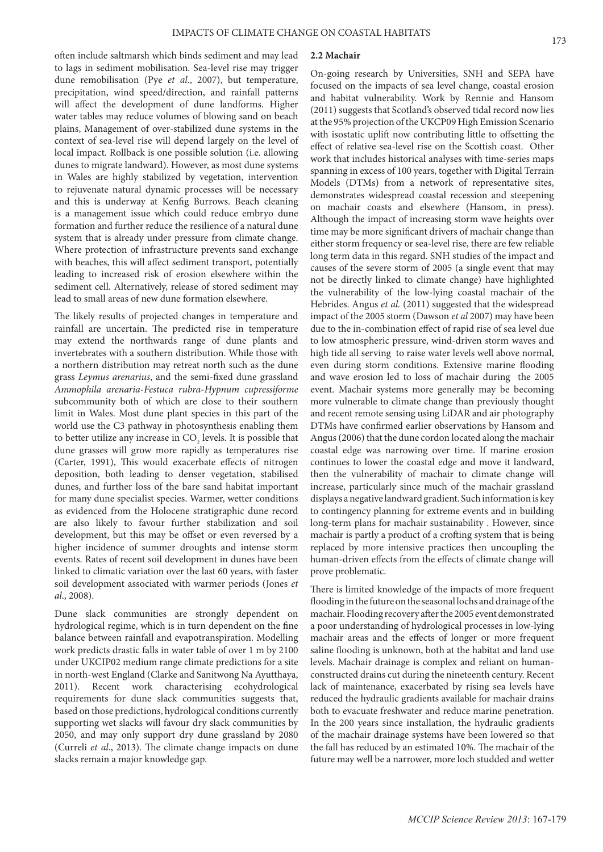often include saltmarsh which binds sediment and may lead to lags in sediment mobilisation. Sea-level rise may trigger dune remobilisation (Pye *et al*., 2007), but temperature, precipitation, wind speed/direction, and rainfall patterns will affect the development of dune landforms. Higher water tables may reduce volumes of blowing sand on beach plains, Management of over-stabilized dune systems in the context of sea-level rise will depend largely on the level of local impact. Rollback is one possible solution (i.e. allowing dunes to migrate landward). However, as most dune systems in Wales are highly stabilized by vegetation, intervention to rejuvenate natural dynamic processes will be necessary and this is underway at Kenfig Burrows. Beach cleaning is a management issue which could reduce embryo dune formation and further reduce the resilience of a natural dune system that is already under pressure from climate change. Where protection of infrastructure prevents sand exchange with beaches, this will affect sediment transport, potentially leading to increased risk of erosion elsewhere within the sediment cell. Alternatively, release of stored sediment may lead to small areas of new dune formation elsewhere.

The likely results of projected changes in temperature and rainfall are uncertain. The predicted rise in temperature may extend the northwards range of dune plants and invertebrates with a southern distribution. While those with a northern distribution may retreat north such as the dune grass *Leymus arenarius*, and the semi-fixed dune grassland *Ammophila arenaria*-*Festuca rubra*-*Hypnum cupressiforme* subcommunity both of which are close to their southern limit in Wales. Most dune plant species in this part of the world use the C3 pathway in photosynthesis enabling them to better utilize any increase in  $\mathrm{CO}_2$  levels. It is possible that dune grasses will grow more rapidly as temperatures rise (Carter, 1991), This would exacerbate effects of nitrogen deposition, both leading to denser vegetation, stabilised dunes, and further loss of the bare sand habitat important for many dune specialist species. Warmer, wetter conditions as evidenced from the Holocene stratigraphic dune record are also likely to favour further stabilization and soil development, but this may be offset or even reversed by a higher incidence of summer droughts and intense storm events. Rates of recent soil development in dunes have been linked to climatic variation over the last 60 years, with faster soil development associated with warmer periods (Jones *et al*., 2008).

Dune slack communities are strongly dependent on hydrological regime, which is in turn dependent on the fine balance between rainfall and evapotranspiration. Modelling work predicts drastic falls in water table of over 1 m by 2100 under UKCIP02 medium range climate predictions for a site in north-west England (Clarke and Sanitwong Na Ayutthaya, 2011). Recent work characterising ecohydrological requirements for dune slack communities suggests that, based on those predictions, hydrological conditions currently supporting wet slacks will favour dry slack communities by 2050, and may only support dry dune grassland by 2080 (Curreli *et al*., 2013). The climate change impacts on dune slacks remain a major knowledge gap.

#### **2.2 Machair**

On-going research by Universities, SNH and SEPA have focused on the impacts of sea level change, coastal erosion and habitat vulnerability. Work by Rennie and Hansom (2011) suggests that Scotland's observed tidal record now lies at the 95% projection of the UKCP09 High Emission Scenario with isostatic uplift now contributing little to offsetting the effect of relative sea-level rise on the Scottish coast. Other work that includes historical analyses with time-series maps spanning in excess of 100 years, together with Digital Terrain Models (DTMs) from a network of representative sites, demonstrates widespread coastal recession and steepening on machair coasts and elsewhere (Hansom, in press). Although the impact of increasing storm wave heights over time may be more significant drivers of machair change than either storm frequency or sea-level rise, there are few reliable long term data in this regard. SNH studies of the impact and causes of the severe storm of 2005 (a single event that may not be directly linked to climate change) have highlighted the vulnerability of the low-lying coastal machair of the Hebrides. Angus *et al.* (2011) suggested that the widespread impact of the 2005 storm (Dawson *et al* 2007) may have been due to the in-combination effect of rapid rise of sea level due to low atmospheric pressure, wind-driven storm waves and high tide all serving to raise water levels well above normal, even during storm conditions. Extensive marine flooding and wave erosion led to loss of machair during the 2005 event. Machair systems more generally may be becoming more vulnerable to climate change than previously thought and recent remote sensing using LiDAR and air photography DTMs have confirmed earlier observations by Hansom and Angus (2006) that the dune cordon located along the machair coastal edge was narrowing over time. If marine erosion continues to lower the coastal edge and move it landward, then the vulnerability of machair to climate change will increase, particularly since much of the machair grassland displays a negative landward gradient. Such information is key to contingency planning for extreme events and in building long-term plans for machair sustainability . However, since machair is partly a product of a crofting system that is being replaced by more intensive practices then uncoupling the human-driven effects from the effects of climate change will prove problematic.

There is limited knowledge of the impacts of more frequent flooding in the future on the seasonal lochs and drainage of the machair. Flooding recovery after the 2005 event demonstrated a poor understanding of hydrological processes in low-lying machair areas and the effects of longer or more frequent saline flooding is unknown, both at the habitat and land use levels. Machair drainage is complex and reliant on humanconstructed drains cut during the nineteenth century. Recent lack of maintenance, exacerbated by rising sea levels have reduced the hydraulic gradients available for machair drains both to evacuate freshwater and reduce marine penetration. In the 200 years since installation, the hydraulic gradients of the machair drainage systems have been lowered so that the fall has reduced by an estimated 10%. The machair of the future may well be a narrower, more loch studded and wetter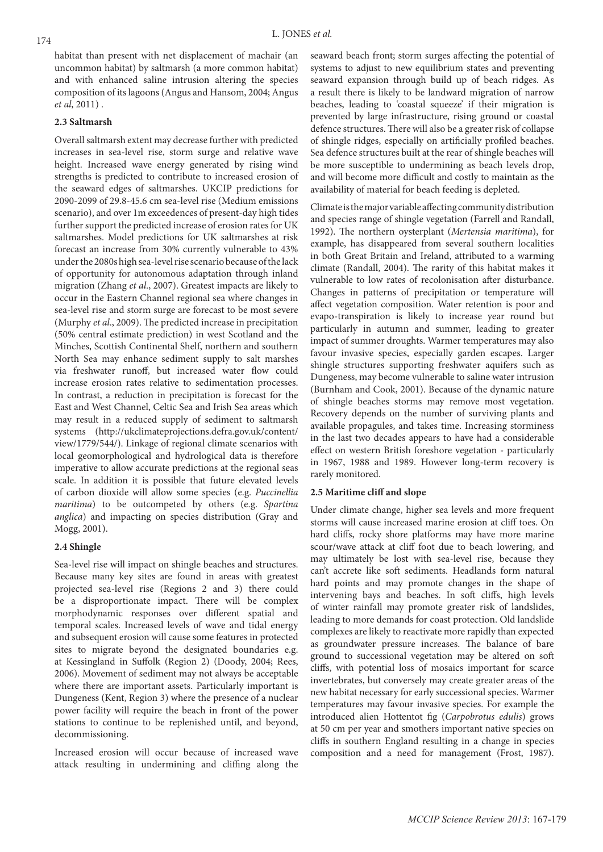habitat than present with net displacement of machair (an uncommon habitat) by saltmarsh (a more common habitat) and with enhanced saline intrusion altering the species composition of its lagoons (Angus and Hansom, 2004; Angus *et al*, 2011) .

#### **2.3 Saltmarsh**

Overall saltmarsh extent may decrease further with predicted increases in sea-level rise, storm surge and relative wave height. Increased wave energy generated by rising wind strengths is predicted to contribute to increased erosion of the seaward edges of saltmarshes. UKCIP predictions for 2090-2099 of 29.8-45.6 cm sea-level rise (Medium emissions scenario), and over 1m exceedences of present-day high tides further support the predicted increase of erosion rates for UK saltmarshes. Model predictions for UK saltmarshes at risk forecast an increase from 30% currently vulnerable to 43% under the 2080s high sea-level rise scenario because of the lack of opportunity for autonomous adaptation through inland migration (Zhang *et al*., 2007). Greatest impacts are likely to occur in the Eastern Channel regional sea where changes in sea-level rise and storm surge are forecast to be most severe (Murphy *et al*., 2009). The predicted increase in precipitation (50% central estimate prediction) in west Scotland and the Minches, Scottish Continental Shelf, northern and southern North Sea may enhance sediment supply to salt marshes via freshwater runoff, but increased water flow could increase erosion rates relative to sedimentation processes. In contrast, a reduction in precipitation is forecast for the East and West Channel, Celtic Sea and Irish Sea areas which may result in a reduced supply of sediment to saltmarsh systems (http://ukclimateprojections.defra.gov.uk/content/ view/1779/544/). Linkage of regional climate scenarios with local geomorphological and hydrological data is therefore imperative to allow accurate predictions at the regional seas scale. In addition it is possible that future elevated levels of carbon dioxide will allow some species (e.g. *Puccinellia maritima*) to be outcompeted by others (e.g. *Spartina anglica*) and impacting on species distribution (Gray and Mogg, 2001).

#### **2.4 Shingle**

Sea-level rise will impact on shingle beaches and structures. Because many key sites are found in areas with greatest projected sea-level rise (Regions 2 and 3) there could be a disproportionate impact. There will be complex morphodynamic responses over different spatial and temporal scales. Increased levels of wave and tidal energy and subsequent erosion will cause some features in protected sites to migrate beyond the designated boundaries e.g. at Kessingland in Suffolk (Region 2) (Doody, 2004; Rees, 2006). Movement of sediment may not always be acceptable where there are important assets. Particularly important is Dungeness (Kent, Region 3) where the presence of a nuclear power facility will require the beach in front of the power stations to continue to be replenished until, and beyond, decommissioning.

Increased erosion will occur because of increased wave attack resulting in undermining and cliffing along the

seaward beach front; storm surges affecting the potential of systems to adjust to new equilibrium states and preventing seaward expansion through build up of beach ridges. As a result there is likely to be landward migration of narrow beaches, leading to 'coastal squeeze' if their migration is prevented by large infrastructure, rising ground or coastal defence structures. There will also be a greater risk of collapse of shingle ridges, especially on artificially profiled beaches. Sea defence structures built at the rear of shingle beaches will be more susceptible to undermining as beach levels drop, and will become more difficult and costly to maintain as the availability of material for beach feeding is depleted.

Climate is the major variable affecting community distribution and species range of shingle vegetation (Farrell and Randall, 1992). The northern oysterplant (*Mertensia maritima*), for example, has disappeared from several southern localities in both Great Britain and Ireland, attributed to a warming climate (Randall, 2004). The rarity of this habitat makes it vulnerable to low rates of recolonisation after disturbance. Changes in patterns of precipitation or temperature will affect vegetation composition. Water retention is poor and evapo-transpiration is likely to increase year round but particularly in autumn and summer, leading to greater impact of summer droughts. Warmer temperatures may also favour invasive species, especially garden escapes. Larger shingle structures supporting freshwater aquifers such as Dungeness, may become vulnerable to saline water intrusion (Burnham and Cook, 2001). Because of the dynamic nature of shingle beaches storms may remove most vegetation. Recovery depends on the number of surviving plants and available propagules, and takes time. Increasing storminess in the last two decades appears to have had a considerable effect on western British foreshore vegetation - particularly in 1967, 1988 and 1989. However long-term recovery is rarely monitored.

## **2.5 Maritime cliff and slope**

Under climate change, higher sea levels and more frequent storms will cause increased marine erosion at cliff toes. On hard cliffs, rocky shore platforms may have more marine scour/wave attack at cliff foot due to beach lowering, and may ultimately be lost with sea-level rise, because they can't accrete like soft sediments. Headlands form natural hard points and may promote changes in the shape of intervening bays and beaches. In soft cliffs, high levels of winter rainfall may promote greater risk of landslides, leading to more demands for coast protection. Old landslide complexes are likely to reactivate more rapidly than expected as groundwater pressure increases. The balance of bare ground to successional vegetation may be altered on soft cliffs, with potential loss of mosaics important for scarce invertebrates, but conversely may create greater areas of the new habitat necessary for early successional species. Warmer temperatures may favour invasive species. For example the introduced alien Hottentot fig (*Carpobrotus edulis*) grows at 50 cm per year and smothers important native species on cliffs in southern England resulting in a change in species composition and a need for management (Frost, 1987).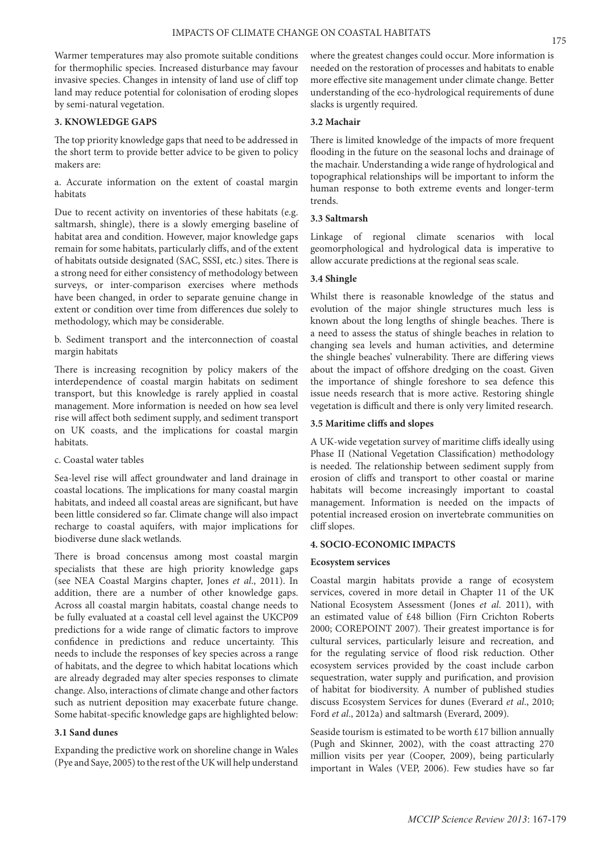Warmer temperatures may also promote suitable conditions for thermophilic species. Increased disturbance may favour invasive species. Changes in intensity of land use of cliff top land may reduce potential for colonisation of eroding slopes by semi-natural vegetation.

## **3. KNOWLEDGE GAPS**

The top priority knowledge gaps that need to be addressed in the short term to provide better advice to be given to policy makers are:

a. Accurate information on the extent of coastal margin habitats

Due to recent activity on inventories of these habitats (e.g. saltmarsh, shingle), there is a slowly emerging baseline of habitat area and condition. However, major knowledge gaps remain for some habitats, particularly cliffs, and of the extent of habitats outside designated (SAC, SSSI, etc.) sites. There is a strong need for either consistency of methodology between surveys, or inter-comparison exercises where methods have been changed, in order to separate genuine change in extent or condition over time from differences due solely to methodology, which may be considerable.

b. Sediment transport and the interconnection of coastal margin habitats

There is increasing recognition by policy makers of the interdependence of coastal margin habitats on sediment transport, but this knowledge is rarely applied in coastal management. More information is needed on how sea level rise will affect both sediment supply, and sediment transport on UK coasts, and the implications for coastal margin habitats.

## c. Coastal water tables

Sea-level rise will affect groundwater and land drainage in coastal locations. The implications for many coastal margin habitats, and indeed all coastal areas are significant, but have been little considered so far. Climate change will also impact recharge to coastal aquifers, with major implications for biodiverse dune slack wetlands.

There is broad concensus among most coastal margin specialists that these are high priority knowledge gaps (see NEA Coastal Margins chapter, Jones *et al*., 2011). In addition, there are a number of other knowledge gaps. Across all coastal margin habitats, coastal change needs to be fully evaluated at a coastal cell level against the UKCP09 predictions for a wide range of climatic factors to improve confidence in predictions and reduce uncertainty. This needs to include the responses of key species across a range of habitats, and the degree to which habitat locations which are already degraded may alter species responses to climate change. Also, interactions of climate change and other factors such as nutrient deposition may exacerbate future change. Some habitat-specific knowledge gaps are highlighted below:

#### **3.1 Sand dunes**

Expanding the predictive work on shoreline change in Wales (Pye and Saye, 2005) to the rest of the UK will help understand where the greatest changes could occur. More information is needed on the restoration of processes and habitats to enable more effective site management under climate change. Better understanding of the eco-hydrological requirements of dune slacks is urgently required.

## **3.2 Machair**

There is limited knowledge of the impacts of more frequent flooding in the future on the seasonal lochs and drainage of the machair. Understanding a wide range of hydrological and topographical relationships will be important to inform the human response to both extreme events and longer-term trends.

## **3.3 Saltmarsh**

Linkage of regional climate scenarios with local geomorphological and hydrological data is imperative to allow accurate predictions at the regional seas scale.

## **3.4 Shingle**

Whilst there is reasonable knowledge of the status and evolution of the major shingle structures much less is known about the long lengths of shingle beaches. There is a need to assess the status of shingle beaches in relation to changing sea levels and human activities, and determine the shingle beaches' vulnerability. There are differing views about the impact of offshore dredging on the coast. Given the importance of shingle foreshore to sea defence this issue needs research that is more active. Restoring shingle vegetation is difficult and there is only very limited research.

#### **3.5 Maritime cliffs and slopes**

A UK-wide vegetation survey of maritime cliffs ideally using Phase II (National Vegetation Classification) methodology is needed. The relationship between sediment supply from erosion of cliffs and transport to other coastal or marine habitats will become increasingly important to coastal management. Information is needed on the impacts of potential increased erosion on invertebrate communities on cliff slopes.

#### **4. SOCIO-ECONOMIC IMPACTS**

#### **Ecosystem services**

Coastal margin habitats provide a range of ecosystem services, covered in more detail in Chapter 11 of the UK National Ecosystem Assessment (Jones *et al*. 2011), with an estimated value of £48 billion (Firn Crichton Roberts 2000; COREPOINT 2007). Their greatest importance is for cultural services, particularly leisure and recreation, and for the regulating service of flood risk reduction. Other ecosystem services provided by the coast include carbon sequestration, water supply and purification, and provision of habitat for biodiversity. A number of published studies discuss Ecosystem Services for dunes (Everard *et al*., 2010; Ford *et al*., 2012a) and saltmarsh (Everard, 2009).

Seaside tourism is estimated to be worth £17 billion annually (Pugh and Skinner, 2002), with the coast attracting 270 million visits per year (Cooper, 2009), being particularly important in Wales (VEP, 2006). Few studies have so far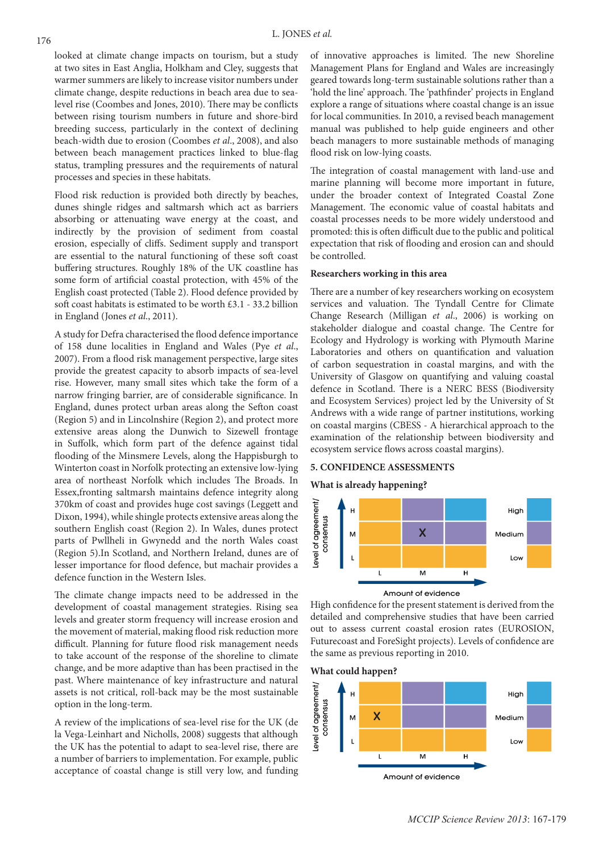looked at climate change impacts on tourism, but a study at two sites in East Anglia, Holkham and Cley, suggests that warmer summers are likely to increase visitor numbers under climate change, despite reductions in beach area due to sealevel rise (Coombes and Jones, 2010). There may be conflicts between rising tourism numbers in future and shore-bird breeding success, particularly in the context of declining beach-width due to erosion (Coombes *et al*., 2008), and also between beach management practices linked to blue-flag status, trampling pressures and the requirements of natural processes and species in these habitats.

Flood risk reduction is provided both directly by beaches, dunes shingle ridges and saltmarsh which act as barriers absorbing or attenuating wave energy at the coast, and indirectly by the provision of sediment from coastal erosion, especially of cliffs. Sediment supply and transport are essential to the natural functioning of these soft coast buffering structures. Roughly 18% of the UK coastline has some form of artificial coastal protection, with 45% of the English coast protected (Table 2). Flood defence provided by soft coast habitats is estimated to be worth £3.1 - 33.2 billion in England (Jones *et al*., 2011).

A study for Defra characterised the flood defence importance of 158 dune localities in England and Wales (Pye *et al*., 2007). From a flood risk management perspective, large sites provide the greatest capacity to absorb impacts of sea-level rise. However, many small sites which take the form of a narrow fringing barrier, are of considerable significance. In England, dunes protect urban areas along the Sefton coast (Region 5) and in Lincolnshire (Region 2), and protect more extensive areas along the Dunwich to Sizewell frontage in Suffolk, which form part of the defence against tidal flooding of the Minsmere Levels, along the Happisburgh to Winterton coast in Norfolk protecting an extensive low-lying area of northeast Norfolk which includes The Broads. In Essex,fronting saltmarsh maintains defence integrity along 370km of coast and provides huge cost savings (Leggett and Dixon, 1994), while shingle protects extensive areas along the southern English coast (Region 2). In Wales, dunes protect parts of Pwllheli in Gwynedd and the north Wales coast (Region 5).In Scotland, and Northern Ireland, dunes are of lesser importance for flood defence, but machair provides a defence function in the Western Isles.

The climate change impacts need to be addressed in the development of coastal management strategies. Rising sea levels and greater storm frequency will increase erosion and the movement of material, making flood risk reduction more difficult. Planning for future flood risk management needs to take account of the response of the shoreline to climate change, and be more adaptive than has been practised in the past. Where maintenance of key infrastructure and natural assets is not critical, roll-back may be the most sustainable option in the long-term.

A review of the implications of sea-level rise for the UK (de la Vega-Leinhart and Nicholls, 2008) suggests that although the UK has the potential to adapt to sea-level rise, there are a number of barriers to implementation. For example, public acceptance of coastal change is still very low, and funding

of innovative approaches is limited. The new Shoreline Management Plans for England and Wales are increasingly geared towards long-term sustainable solutions rather than a 'hold the line' approach. The 'pathfinder' projects in England explore a range of situations where coastal change is an issue for local communities. In 2010, a revised beach management manual was published to help guide engineers and other beach managers to more sustainable methods of managing flood risk on low-lying coasts.

The integration of coastal management with land-use and marine planning will become more important in future, under the broader context of Integrated Coastal Zone Management. The economic value of coastal habitats and coastal processes needs to be more widely understood and promoted: this is often difficult due to the public and political expectation that risk of flooding and erosion can and should be controlled.

## **Researchers working in this area**

There are a number of key researchers working on ecosystem services and valuation. The Tyndall Centre for Climate Change Research (Milligan *et al*., 2006) is working on stakeholder dialogue and coastal change. The Centre for Ecology and Hydrology is working with Plymouth Marine Laboratories and others on quantification and valuation of carbon sequestration in coastal margins, and with the University of Glasgow on quantifying and valuing coastal defence in Scotland. There is a NERC BESS (Biodiversity and Ecosystem Services) project led by the University of St Andrews with a wide range of partner institutions, working on coastal margins (CBESS - A hierarchical approach to the examination of the relationship between biodiversity and ecosystem service flows across coastal margins).

# **5. CONFIDENCE ASSESSMENTS**

## **What is already happening?**



Amount of evidence

High confidence for the present statement is derived from the detailed and comprehensive studies that have been carried out to assess current coastal erosion rates (EUROSION, Futurecoast and ForeSight projects). Levels of confidence are the same as previous reporting in 2010.

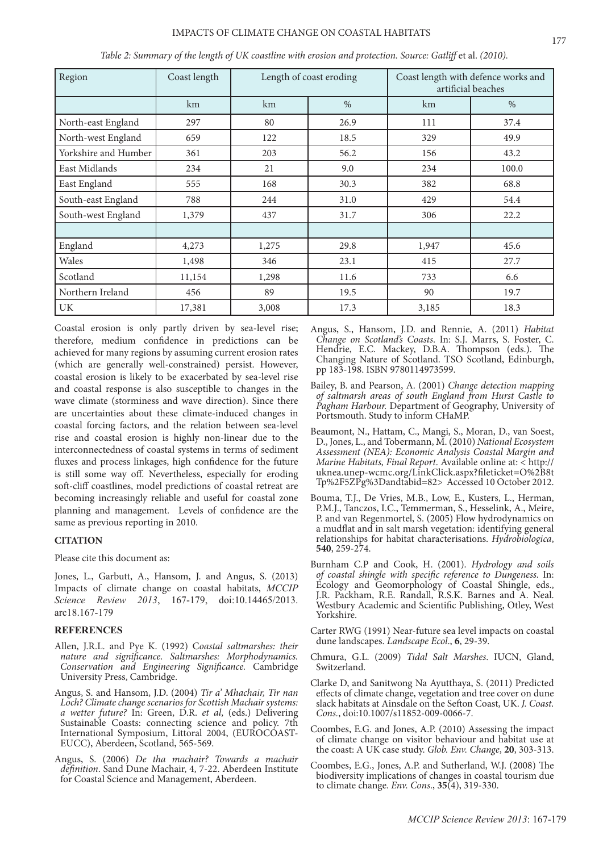|  | Table 2: Summary of the length of UK coastline with erosion and protection. Source: Gatliff et al. (2010). |  |  |
|--|------------------------------------------------------------------------------------------------------------|--|--|
|  |                                                                                                            |  |  |

| Region               | Coast length | Length of coast eroding |      | Coast length with defence works and<br>artificial beaches |       |  |
|----------------------|--------------|-------------------------|------|-----------------------------------------------------------|-------|--|
|                      | km           | km                      | $\%$ | km                                                        | $\%$  |  |
| North-east England   | 297          | 80                      | 26.9 | 111                                                       | 37.4  |  |
| North-west England   | 659          | 122                     | 18.5 | 329                                                       | 49.9  |  |
| Yorkshire and Humber | 361          | 203                     | 56.2 | 156                                                       | 43.2  |  |
| East Midlands        | 234          | 21                      | 9.0  | 234                                                       | 100.0 |  |
| East England         | 555          | 168                     | 30.3 | 382                                                       | 68.8  |  |
| South-east England   | 788          | 244                     | 31.0 | 429                                                       | 54.4  |  |
| South-west England   | 1,379        | 437                     | 31.7 | 306                                                       | 22.2  |  |
|                      |              |                         |      |                                                           |       |  |
| England              | 4,273        | 1,275                   | 29.8 | 1,947                                                     | 45.6  |  |
| Wales                | 1,498        | 346                     | 23.1 | 415                                                       | 27.7  |  |
| Scotland             | 11,154       | 1,298                   | 11.6 | 733                                                       | 6.6   |  |
| Northern Ireland     | 456          | 89                      | 19.5 | 90                                                        | 19.7  |  |
| UK                   | 17,381       | 3,008                   | 17.3 | 3,185                                                     | 18.3  |  |

Coastal erosion is only partly driven by sea-level rise; therefore, medium confidence in predictions can be achieved for many regions by assuming current erosion rates (which are generally well-constrained) persist. However, coastal erosion is likely to be exacerbated by sea-level rise and coastal response is also susceptible to changes in the wave climate (storminess and wave direction). Since there are uncertainties about these climate-induced changes in coastal forcing factors, and the relation between sea-level rise and coastal erosion is highly non-linear due to the interconnectedness of coastal systems in terms of sediment fluxes and process linkages, high confidence for the future is still some way off. Nevertheless, especially for eroding soft-cliff coastlines, model predictions of coastal retreat are becoming increasingly reliable and useful for coastal zone planning and management. Levels of confidence are the same as previous reporting in 2010.

## **CITATION**

Please cite this document as:

Jones, L., Garbutt, A., Hansom, J. and Angus, S. (2013) Impacts of climate change on coastal habitats, *MCCIP Science Review 2013*, 167-179, doi:10.14465/2013. arc18.167-179

#### **REFERENCES**

- Allen, J.R.L. and Pye K. (1992) C*oastal saltmarshes: their nature and significance. Saltmarshes: Morphodynamics. Conservation and Engineering Significance.* Cambridge University Press, Cambridge.
- Angus, S. and Hansom, J.D. (2004) *Tir a' Mhachair, Tir nan Loch? Climate change scenarios for Scottish Machair systems: a wetter future?* In: Green, D.R. *et al*, (eds.) Delivering Sustainable Coasts: connecting science and policy. 7th International Symposium, Littoral 2004, (EUROCOAST-EUCC), Aberdeen, Scotland, 565-569.
- Angus, S. (2006) *De tha machair? Towards a machair definition*. Sand Dune Machair, 4, 7-22. Aberdeen Institute for Coastal Science and Management, Aberdeen.
- Angus, S., Hansom, J.D. and Rennie, A. (2011) *Habitat Change on Scotland's Coasts*. In: S.J. Marrs, S. Foster, C. Hendrie, E.C. Mackey, D.B.A. Thompson (eds.). The Changing Nature of Scotland. TSO Scotland, Edinburgh, pp 183-198. ISBN 9780114973599.
- Bailey, B. and Pearson, A. (2001) *Change detection mapping of saltmarsh areas of south England from Hurst Castle to Pagham Harbour.* Department of Geography, University of Portsmouth. Study to inform CHaMP.
- Beaumont, N., Hattam, C., Mangi, S., Moran, D., van Soest, D., Jones, L., and Tobermann, M. (2010) *National Ecosystem Assessment (NEA): Economic Analysis Coastal Margin and Marine Habitats, Final Report*. Available online at: < http:// uknea.unep-wcmc.org/LinkClick.aspx?fileticket=O%2B8t Tp%2F5ZPg%3Dandtabid=82> Accessed 10 October 2012.
- Bouma, T.J., De Vries, M.B., Low, E., Kusters, L., Herman, P.M.J., Tanczos, I.C., Temmerman, S., Hesselink, A., Meire, P. and van Regenmortel, S. (2005) Flow hydrodynamics on a mudflat and in salt marsh vegetation: identifying general relationships for habitat characterisations. *Hydrobiologica*, **540**, 259-274.
- Burnham C.P and Cook, H. (2001). *Hydrology and soils of coastal shingle with specific reference to Dungeness*. In: Ecology and Geomorphology of Coastal Shingle, eds., J.R. Packham, R.E. Randall, R.S.K. Barnes and A. Neal. Westbury Academic and Scientific Publishing, Otley, West Yorkshire.
- Carter RWG (1991) Near-future sea level impacts on coastal dune landscapes. *Landscape Ecol*., **6**, 29-39.
- Chmura, G.L. (2009) *Tidal Salt Marshes*. IUCN, Gland, Switzerland.
- Clarke D, and Sanitwong Na Ayutthaya, S. (2011) Predicted effects of climate change, vegetation and tree cover on dune slack habitats at Ainsdale on the Sefton Coast, UK. *J. Coast. Cons.*, doi:10.1007/s11852-009-0066-7.
- Coombes, E.G. and Jones, A.P. (2010) Assessing the impact of climate change on visitor behaviour and habitat use at the coast: A UK case study. *Glob. Env. Change*, **20**, 303-313.
- Coombes, E.G., Jones, A.P. and Sutherland, W.J. (2008) The biodiversity implications of changes in coastal tourism due to climate change. *Env. Cons*., **35**(4), 319-330.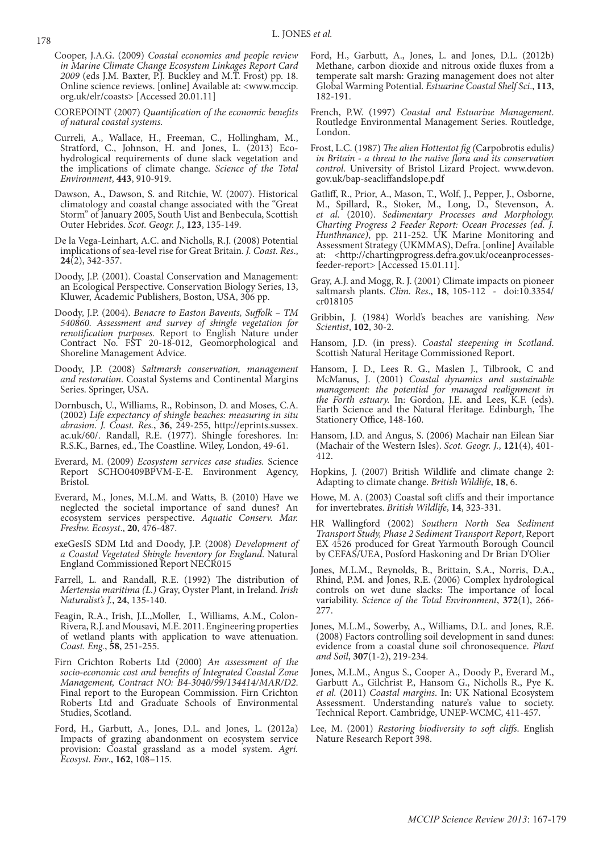- <sup>178</sup> L. JONES *et al.*
	- Cooper, J.A.G. (2009) *Coastal economies and people review in Marine Climate Change Ecosystem Linkages Report Card 2009* (eds J.M. Baxter, P.J. Buckley and M.T. Frost) pp. 18. Online science reviews. [online] Available at: <www.mccip. org.uk/elr/coasts> [Accessed 20.01.11]
	- COREPOINT (2007) *Quantification of the economic benefits of natural coastal systems.*
	- Curreli, A., Wallace, H., Freeman, C., Hollingham, M., Stratford, C., Johnson, H. and Jones, L. (2013) Ecohydrological requirements of dune slack vegetation and the implications of climate change. *Science of the Total Environment*, **443**, 910-919.
	- Dawson, A., Dawson, S. and Ritchie, W. (2007). Historical climatology and coastal change associated with the "Great Storm" of January 2005, South Uist and Benbecula, Scottish Outer Hebrides. *Scot. Geogr. J.*, **123**, 135-149.
	- De la Vega-Leinhart, A.C. and Nicholls, R.J. (2008) Potential implications of sea-level rise for Great Britain. *J. Coast. Res*., **24**(2), 342-357.
	- Doody, J.P. (2001). Coastal Conservation and Management: an Ecological Perspective. Conservation Biology Series, 13, Kluwer, Academic Publishers, Boston, USA, 306 pp.
	- Doody, J.P. (2004). *Benacre to Easton Bavents, Suffolk TM 540860. Assessment and survey of shingle vegetation for renotification purposes.* Report to English Nature under Contract No. FST 20-18-012, Geomorphological and Shoreline Management Advice.
	- Doody, J.P. (2008) *Saltmarsh conservation, management and restoration*. Coastal Systems and Continental Margins Series. Springer, USA.
	- Dornbusch, U., Williams, R., Robinson, D. and Moses, C.A. (2002) *Life expectancy of shingle beaches: measuring in situ abrasion*. *J. Coast. Res.*, **36**, 249-255, http://eprints.sussex. ac.uk/60/. Randall, R.E. (1977). Shingle foreshores. In: R.S.K., Barnes, ed., The Coastline. Wiley, London, 49-61.
	- Everard, M. (2009) *Ecosystem services case studies.* Science Report SCHO0409BPVM-E-E. Environment Agency, Bristol.
	- Everard, M., Jones, M.L.M. and Watts, B. (2010) Have we neglected the societal importance of sand dunes? An ecosystem services perspective. *Aquatic Conserv. Mar. Freshw. Ecosyst*., **20**, 476-487.
	- exeGesIS SDM Ltd and Doody, J.P. (2008) *Development of a Coastal Vegetated Shingle Inventory for England*. Natural England Commissioned Report NECR015
	- Farrell, L. and Randall, R.E. (1992) The distribution of *Mertensia maritima (L.)* Gray, Oyster Plant, in Ireland. *Irish Naturalist's J.*, **24**, 135-140.
	- Feagin, R.A., Irish, J.L.,Moller, I., Williams, A.M., Colon-Rivera, R.J. and Mousavi, M.E. 2011. Engineering properties of wetland plants with application to wave attenuation. *Coast. Eng.*, **58**, 251-255.
	- Firn Crichton Roberts Ltd (2000) *An assessment of the socio-economic cost and benefits of Integrated Coastal Zone*  Final report to the European Commission. Firn Crichton Roberts Ltd and Graduate Schools of Environmental Studies, Scotland.
	- Ford, H., Garbutt, A., Jones, D.L. and Jones, L. (2012a) Impacts of grazing abandonment on ecosystem service provision: Coastal grassland as a model system. *Agri. Ecosyst. Env*., **162**, 108–115.
- Ford, H., Garbutt, A., Jones, L. and Jones, D.L. (2012b) Methane, carbon dioxide and nitrous oxide fluxes from a temperate salt marsh: Grazing management does not alter Global Warming Potential. *Estuarine Coastal Shelf Sci*., **<sup>113</sup>**, 182-191.
- French, P.W. (1997) *Coastal and Estuarine Management*. Routledge Environmental Management Series. Routledge, London.
- Frost, L.C. (1987) *The alien Hottentot fig (*Carpobrotis edulis*) in Britain - a threat to the native flora and its conservation control*. University of Bristol Lizard Project. www.devon. gov.uk/bap-seacliffandslope.pdf
- Gatliff, R., Prior, A., Mason, T., Wolf, J., Pepper, J., Osborne, M., Spillard, R., Stoker, M., Long, D., Stevenson, A. *et al.* (2010). *Sedimentary Processes and Morphology. Charting Progress 2 Feeder Report: Ocean Processes (ed. J. Hunthnance)*, pp. 211-252. UK Marine Monitoring and Assessment Strategy (UKMMAS), Defra. [online] Available at: <http://chartingprogress.defra.gov.uk/oceanprocessesfeeder-report> [Accessed 15.01.11].
- Gray, A.J. and Mogg, R. J. (2001) Climate impacts on pioneer saltmarsh plants. *Clim. Res*., **18**, 105-112 - doi:10.3354/ cr018105
- Gribbin, J. (1984) World's beaches are vanishing. *New Scientist*, **102**, 30-2.
- Hansom, J.D. (in press). *Coastal steepening in Scotland*. Scottish Natural Heritage Commissioned Report.
- Hansom, J. D., Lees R. G., Maslen J., Tilbrook, C and McManus, J. (2001) *Coastal dynamics and sustainable management: the potential for managed realignment in the Forth estuary.* In: Gordon, J.E. and Lees, K.F. (eds). Earth Science and the Natural Heritage. Edinburgh, The Stationery Office, 148-160.
- Hansom, J.D. and Angus, S. (2006) Machair nan Eilean Siar (Machair of the Western Isles). *Scot. Geogr. J.*, **121**(4), 401- 412.
- Hopkins, J. (2007) British Wildlife and climate change 2: Adapting to climate change. *British Wildlife*, **18**, 6.
- Howe, M. A. (2003) Coastal soft cliffs and their importance for invertebrates. *British Wildlife*, **14**, 323-331.
- HR Wallingford (2002) *Southern North Sea Sediment Transport Study, Phase 2 Sediment Transport Report*, Report EX 4526 produced for Great Yarmouth Borough Council by CEFAS/UEA, Posford Haskoning and Dr Brian D'Olier
- Jones, M.L.M., Reynolds, B., Brittain, S.A., Norris, D.A., Rhind, P.M. and Jones, R.E. (2006) Complex hydrological controls on wet dune slacks: The importance of local variability. *Science of the Total Environment*, **372**(1), 266- 277.
- Jones, M.L.M., Sowerby, A., Williams, D.L. and Jones, R.E. (2008) Factors controlling soil development in sand dunes: evidence from a coastal dune soil chronosequence. *Plant and Soil*, **307**(1-2), 219-234.
- Jones, M.L.M., Angus S., Cooper A., Doody P., Everard M., Garbutt A., Gilchrist P., Hansom G., Nicholls R., Pye K. *et al.* (2011) *Coastal margins*. In: UK National Ecosystem Assessment. Understanding nature's value to society. Technical Report. Cambridge, UNEP-WCMC, 411-457.
- Lee, M. (2001) *Restoring biodiversity to soft cliffs*. English Nature Research Report 398.